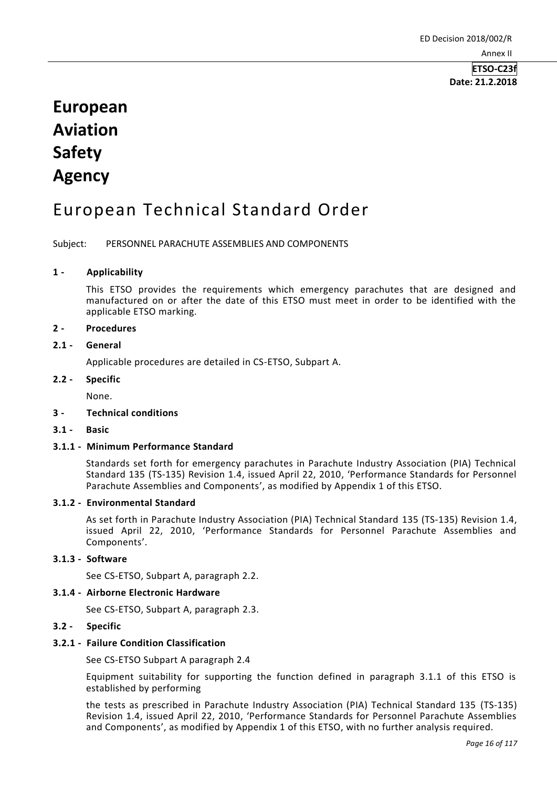**ETSO-C23f Date: 21.2.2018**

# **European Aviation Safety Agency**

## European Technical Standard Order

Subject: PERSONNEL PARACHUTE ASSEMBLIES AND COMPONENTS

## **1 - Applicability**

This ETSO provides the requirements which emergency parachutes that are designed and manufactured on or after the date of this ETSO must meet in order to be identified with the applicable ETSO marking.

## **2 - Procedures**

## **2.1 - General**

Applicable procedures are detailed in CS-ETSO, Subpart A.

#### **2.2 - Specific**

None.

#### **3 - Technical conditions**

**3.1 - Basic**

## **3.1.1 - Minimum Performance Standard**

Standards set forth for emergency parachutes in Parachute Industry Association (PIA) Technical Standard 135 (TS-135) Revision 1.4, issued April 22, 2010, 'Performance Standards for Personnel Parachute Assemblies and Components', as modified by Appendix 1 of this ETSO.

#### **3.1.2 - Environmental Standard**

As set forth in Parachute Industry Association (PIA) Technical Standard 135 (TS-135) Revision 1.4, issued April 22, 2010, 'Performance Standards for Personnel Parachute Assemblies and Components'.

## **3.1.3 - Software**

See CS-ETSO, Subpart A, paragraph 2.2.

#### **3.1.4 - Airborne Electronic Hardware**

See CS-ETSO, Subpart A, paragraph 2.3.

#### **3.2 - Specific**

#### **3.2.1 - Failure Condition Classification**

See CS-ETSO Subpart A paragraph 2.4

Equipment suitability for supporting the function defined in paragraph 3.1.1 of this ETSO is established by performing

the tests as prescribed in Parachute Industry Association (PIA) Technical Standard 135 (TS-135) Revision 1.4, issued April 22, 2010, 'Performance Standards for Personnel Parachute Assemblies and Components', as modified by Appendix 1 of this ETSO, with no further analysis required.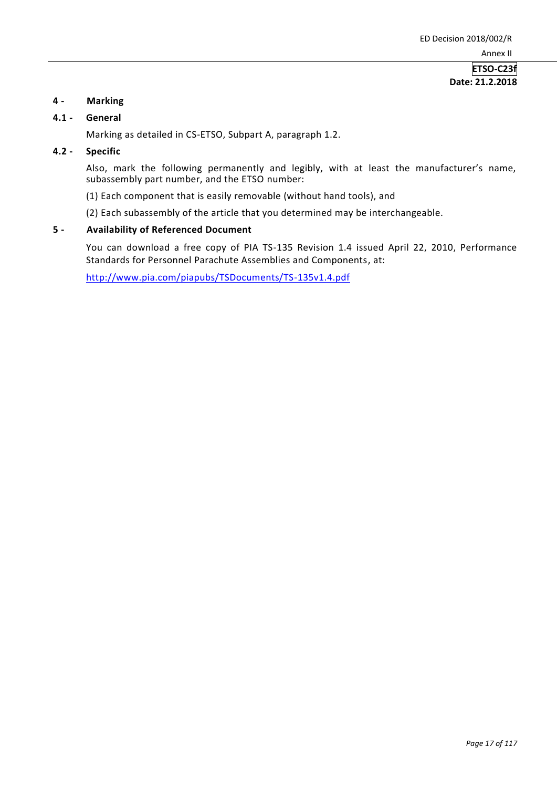## **ETSO-C23f Date: 21.2.2018**

## **4 - Marking**

#### **4.1 - General**

Marking as detailed in CS-ETSO, Subpart A, paragraph 1.2.

## **4.2 - Specific**

Also, mark the following permanently and legibly, with at least the manufacturer's name, subassembly part number, and the ETSO number:

(1) Each component that is easily removable (without hand tools), and

(2) Each subassembly of the article that you determined may be interchangeable.

## **5 - Availability of Referenced Document**

You can download a free copy of PIA TS-135 Revision 1.4 issued April 22, 2010, Performance Standards for Personnel Parachute Assemblies and Components, at:

<http://www.pia.com/piapubs/TSDocuments/TS-135v1.4.pdf>